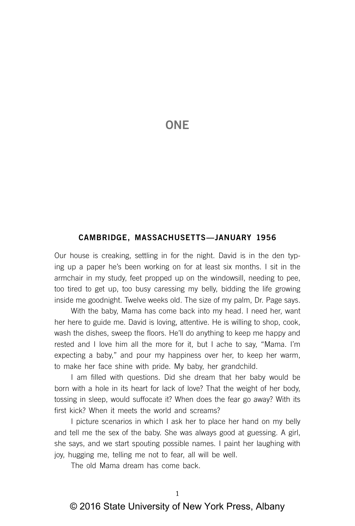# **ONE**

### **CAMBRIDGE, MASSACHUSETTS—JANUARY 1956**

Our house is creaking, settling in for the night. David is in the den typing up a paper he's been working on for at least six months. I sit in the armchair in my study, feet propped up on the windowsill, needing to pee, too tired to get up, too busy caressing my belly, bidding the life growing inside me goodnight. Twelve weeks old. The size of my palm, Dr. Page says.

With the baby, Mama has come back into my head. I need her, want her here to guide me. David is loving, attentive. He is willing to shop, cook, wash the dishes, sweep the floors. He'll do anything to keep me happy and rested and I love him all the more for it, but I ache to say, "Mama. I'm expecting a baby," and pour my happiness over her, to keep her warm, to make her face shine with pride. My baby, her grandchild.

I am filled with questions. Did she dream that her baby would be born with a hole in its heart for lack of love? That the weight of her body, tossing in sleep, would suffocate it? When does the fear go away? With its first kick? When it meets the world and screams?

I picture scenarios in which I ask her to place her hand on my belly and tell me the sex of the baby. She was always good at guessing. A girl, she says, and we start spouting possible names. I paint her laughing with joy, hugging me, telling me not to fear, all will be well.

The old Mama dream has come back.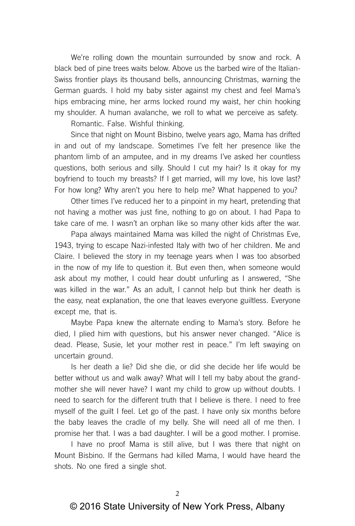We're rolling down the mountain surrounded by snow and rock. A black bed of pine trees waits below. Above us the barbed wire of the Italian-Swiss frontier plays its thousand bells, announcing Christmas, warning the German guards. I hold my baby sister against my chest and feel Mama's hips embracing mine, her arms locked round my waist, her chin hooking my shoulder. A human avalanche, we roll to what we perceive as safety.

Romantic. False. Wishful thinking.

Since that night on Mount Bisbino, twelve years ago, Mama has drifted in and out of my landscape. Sometimes I've felt her presence like the phantom limb of an amputee, and in my dreams I've asked her countless questions, both serious and silly. Should I cut my hair? Is it okay for my boyfriend to touch my breasts? If I get married, will my love, his love last? For how long? Why aren't you here to help me? What happened to you?

Other times I've reduced her to a pinpoint in my heart, pretending that not having a mother was just fine, nothing to go on about. I had Papa to take care of me. I wasn't an orphan like so many other kids after the war.

Papa always maintained Mama was killed the night of Christmas Eve, 1943, trying to escape Nazi-infested Italy with two of her children. Me and Claire. I believed the story in my teenage years when I was too absorbed in the now of my life to question it. But even then, when someone would ask about my mother, I could hear doubt unfurling as I answered, "She was killed in the war." As an adult, I cannot help but think her death is the easy, neat explanation, the one that leaves everyone guiltless. Everyone except me, that is.

Maybe Papa knew the alternate ending to Mama's story. Before he died, I plied him with questions, but his answer never changed. "Alice is dead. Please, Susie, let your mother rest in peace." I'm left swaying on uncertain ground.

Is her death a lie? Did she die, or did she decide her life would be better without us and walk away? What will I tell my baby about the grandmother she will never have? I want my child to grow up without doubts. I need to search for the different truth that I believe is there. I need to free myself of the guilt I feel. Let go of the past. I have only six months before the baby leaves the cradle of my belly. She will need all of me then. I promise her that. I was a bad daughter. I will be a good mother. I promise.

I have no proof Mama is still alive, but I was there that night on Mount Bisbino. If the Germans had killed Mama, I would have heard the shots. No one fired a single shot.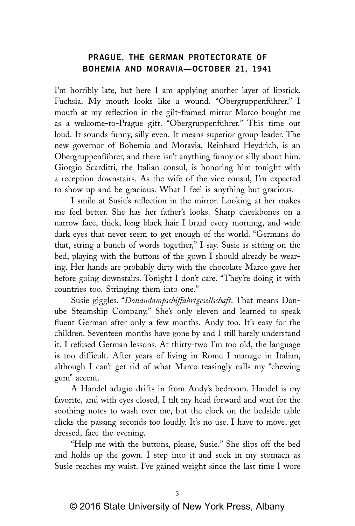## **PRAGUE, THE GERMAN PROTECTORATE OF BOHEMIA AND MORAVIA—OCTOBER 21, 1941**

I'm horribly late, but here I am applying another layer of lipstick. Fuchsia. My mouth looks like a wound. "Obergruppenführer," I mouth at my reflection in the gilt-framed mirror Marco bought me as a welcome-to-Prague gift. "Obergruppenführer." This time out loud. It sounds funny, silly even. It means superior group leader. The new governor of Bohemia and Moravia, Reinhard Heydrich, is an Obergruppenführer, and there isn't anything funny or silly about him. Giorgio Scarditti, the Italian consul, is honoring him tonight with a reception downstairs. As the wife of the vice consul, I'm expected to show up and be gracious. What I feel is anything but gracious.

I smile at Susie's reflection in the mirror. Looking at her makes me feel better. She has her father's looks. Sharp cheekbones on a narrow face, thick, long black hair I braid every morning, and wide dark eyes that never seem to get enough of the world. "Germans do that, string a bunch of words together," I say. Susie is sitting on the bed, playing with the buttons of the gown I should already be wearing. Her hands are probably dirty with the chocolate Marco gave her before going downstairs. Tonight I don't care. "They're doing it with countries too. Stringing them into one."

Susie giggles. "*Donaudampschiffahrtgesellschaft*. That means Danube Steamship Company." She's only eleven and learned to speak fluent German after only a few months. Andy too. It's easy for the children. Seventeen months have gone by and I still barely understand it. I refused German lessons. At thirty-two I'm too old, the language is too difficult. After years of living in Rome I manage in Italian, although I can't get rid of what Marco teasingly calls my "chewing gum" accent.

A Handel adagio drifts in from Andy's bedroom. Handel is my favorite, and with eyes closed, I tilt my head forward and wait for the soothing notes to wash over me, but the clock on the bedside table clicks the passing seconds too loudly. It's no use. I have to move, get dressed, face the evening.

"Help me with the buttons, please, Susie." She slips off the bed and holds up the gown. I step into it and suck in my stomach as Susie reaches my waist. I've gained weight since the last time I wore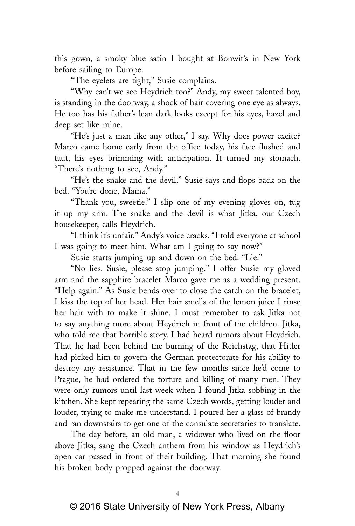this gown, a smoky blue satin I bought at Bonwit's in New York before sailing to Europe.

"The eyelets are tight," Susie complains.

"Why can't we see Heydrich too?" Andy, my sweet talented boy, is standing in the doorway, a shock of hair covering one eye as always. He too has his father's lean dark looks except for his eyes, hazel and deep set like mine.

"He's just a man like any other," I say. Why does power excite? Marco came home early from the office today, his face flushed and taut, his eyes brimming with anticipation. It turned my stomach. "There's nothing to see, Andy."

"He's the snake and the devil," Susie says and flops back on the bed. "You're done, Mama."

"Thank you, sweetie." I slip one of my evening gloves on, tug it up my arm. The snake and the devil is what Jitka, our Czech housekeeper, calls Heydrich.

"I think it's unfair." Andy's voice cracks. "I told everyone at school I was going to meet him. What am I going to say now?"

Susie starts jumping up and down on the bed. "Lie."

"No lies. Susie, please stop jumping." I offer Susie my gloved arm and the sapphire bracelet Marco gave me as a wedding present. "Help again." As Susie bends over to close the catch on the bracelet, I kiss the top of her head. Her hair smells of the lemon juice I rinse her hair with to make it shine. I must remember to ask Jitka not to say anything more about Heydrich in front of the children. Jitka, who told me that horrible story. I had heard rumors about Heydrich. That he had been behind the burning of the Reichstag, that Hitler had picked him to govern the German protectorate for his ability to destroy any resistance. That in the few months since he'd come to Prague, he had ordered the torture and killing of many men. They were only rumors until last week when I found Jitka sobbing in the kitchen. She kept repeating the same Czech words, getting louder and louder, trying to make me understand. I poured her a glass of brandy and ran downstairs to get one of the consulate secretaries to translate.

The day before, an old man, a widower who lived on the floor above Jitka, sang the Czech anthem from his window as Heydrich's open car passed in front of their building. That morning she found his broken body propped against the doorway.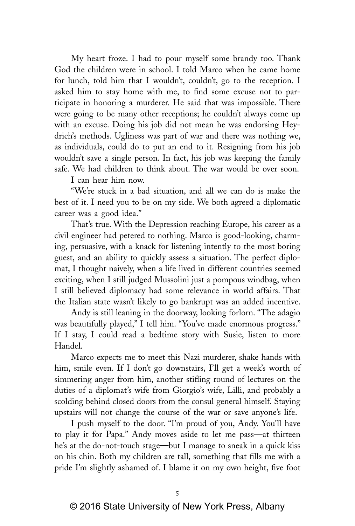My heart froze. I had to pour myself some brandy too. Thank God the children were in school. I told Marco when he came home for lunch, told him that I wouldn't, couldn't, go to the reception. I asked him to stay home with me, to find some excuse not to participate in honoring a murderer. He said that was impossible. There were going to be many other receptions; he couldn't always come up with an excuse. Doing his job did not mean he was endorsing Heydrich's methods. Ugliness was part of war and there was nothing we, as individuals, could do to put an end to it. Resigning from his job wouldn't save a single person. In fact, his job was keeping the family safe. We had children to think about. The war would be over soon.

I can hear him now.

"We're stuck in a bad situation, and all we can do is make the best of it. I need you to be on my side. We both agreed a diplomatic career was a good idea."

That's true. With the Depression reaching Europe, his career as a civil engineer had petered to nothing. Marco is good-looking, charming, persuasive, with a knack for listening intently to the most boring guest, and an ability to quickly assess a situation. The perfect diplomat, I thought naively, when a life lived in different countries seemed exciting, when I still judged Mussolini just a pompous windbag, when I still believed diplomacy had some relevance in world affairs. That the Italian state wasn't likely to go bankrupt was an added incentive.

Andy is still leaning in the doorway, looking forlorn. "The adagio was beautifully played," I tell him. "You've made enormous progress." If I stay, I could read a bedtime story with Susie, listen to more Handel.

Marco expects me to meet this Nazi murderer, shake hands with him, smile even. If I don't go downstairs, I'll get a week's worth of simmering anger from him, another stifling round of lectures on the duties of a diplomat's wife from Giorgio's wife, Lilli, and probably a scolding behind closed doors from the consul general himself. Staying upstairs will not change the course of the war or save anyone's life.

I push myself to the door. "I'm proud of you, Andy. You'll have to play it for Papa." Andy moves aside to let me pass—at thirteen he's at the do-not-touch stage—but I manage to sneak in a quick kiss on his chin. Both my children are tall, something that fills me with a pride I'm slightly ashamed of. I blame it on my own height, five foot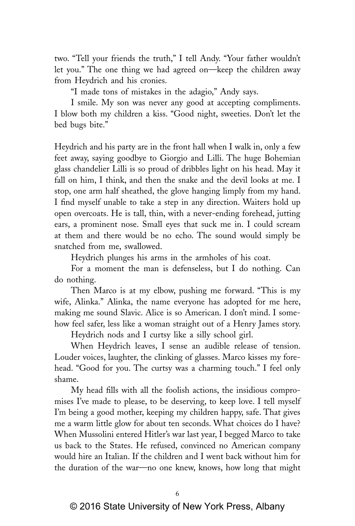two. "Tell your friends the truth," I tell Andy. "Your father wouldn't let you." The one thing we had agreed on—keep the children away from Heydrich and his cronies.

"I made tons of mistakes in the adagio," Andy says.

I smile. My son was never any good at accepting compliments. I blow both my children a kiss. "Good night, sweeties. Don't let the bed bugs bite."

Heydrich and his party are in the front hall when I walk in, only a few feet away, saying goodbye to Giorgio and Lilli. The huge Bohemian glass chandelier Lilli is so proud of dribbles light on his head. May it fall on him, I think, and then the snake and the devil looks at me. I stop, one arm half sheathed, the glove hanging limply from my hand. I find myself unable to take a step in any direction. Waiters hold up open overcoats. He is tall, thin, with a never-ending forehead, jutting ears, a prominent nose. Small eyes that suck me in. I could scream at them and there would be no echo. The sound would simply be snatched from me, swallowed.

Heydrich plunges his arms in the armholes of his coat.

For a moment the man is defenseless, but I do nothing. Can do nothing.

Then Marco is at my elbow, pushing me forward. "This is my wife, Alinka." Alinka, the name everyone has adopted for me here, making me sound Slavic. Alice is so American. I don't mind. I somehow feel safer, less like a woman straight out of a Henry James story.

Heydrich nods and I curtsy like a silly school girl.

When Heydrich leaves, I sense an audible release of tension. Louder voices, laughter, the clinking of glasses. Marco kisses my forehead. "Good for you. The curtsy was a charming touch." I feel only shame.

My head fills with all the foolish actions, the insidious compromises I've made to please, to be deserving, to keep love. I tell myself I'm being a good mother, keeping my children happy, safe. That gives me a warm little glow for about ten seconds. What choices do I have? When Mussolini entered Hitler's war last year, I begged Marco to take us back to the States. He refused, convinced no American company would hire an Italian. If the children and I went back without him for the duration of the war—no one knew, knows, how long that might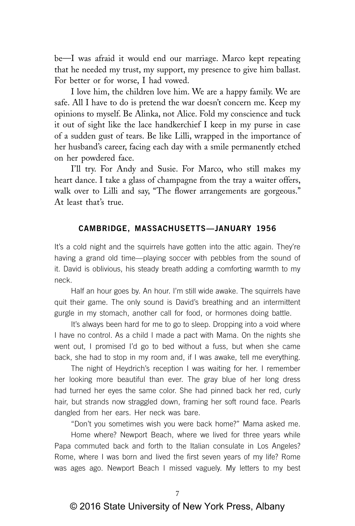be—I was afraid it would end our marriage. Marco kept repeating that he needed my trust, my support, my presence to give him ballast. For better or for worse, I had vowed.

I love him, the children love him. We are a happy family. We are safe. All I have to do is pretend the war doesn't concern me. Keep my opinions to myself. Be Alinka, not Alice. Fold my conscience and tuck it out of sight like the lace handkerchief I keep in my purse in case of a sudden gust of tears. Be like Lilli, wrapped in the importance of her husband's career, facing each day with a smile permanently etched on her powdered face.

I'll try. For Andy and Susie. For Marco, who still makes my heart dance. I take a glass of champagne from the tray a waiter offers, walk over to Lilli and say, "The flower arrangements are gorgeous." At least that's true.

#### **CAMBRIDGE, MASSACHUSETTS—JANUARY 1956**

It's a cold night and the squirrels have gotten into the attic again. They're having a grand old time—playing soccer with pebbles from the sound of it. David is oblivious, his steady breath adding a comforting warmth to my neck.

Half an hour goes by. An hour. I'm still wide awake. The squirrels have quit their game. The only sound is David's breathing and an intermittent gurgle in my stomach, another call for food, or hormones doing battle.

It's always been hard for me to go to sleep. Dropping into a void where I have no control. As a child I made a pact with Mama. On the nights she went out, I promised I'd go to bed without a fuss, but when she came back, she had to stop in my room and, if I was awake, tell me everything.

The night of Heydrich's reception I was waiting for her. I remember her looking more beautiful than ever. The gray blue of her long dress had turned her eyes the same color. She had pinned back her red, curly hair, but strands now straggled down, framing her soft round face. Pearls dangled from her ears. Her neck was bare.

"Don't you sometimes wish you were back home?" Mama asked me.

Home where? Newport Beach, where we lived for three years while Papa commuted back and forth to the Italian consulate in Los Angeles? Rome, where I was born and lived the first seven years of my life? Rome was ages ago. Newport Beach I missed vaguely. My letters to my best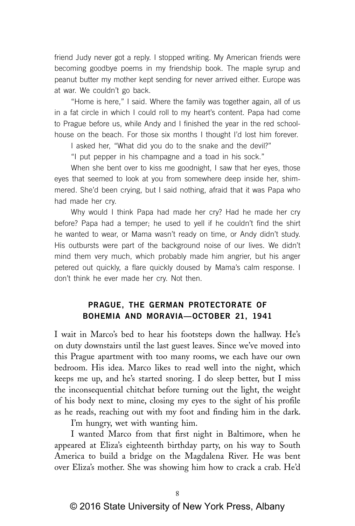friend Judy never got a reply. I stopped writing. My American friends were becoming goodbye poems in my friendship book. The maple syrup and peanut butter my mother kept sending for never arrived either. Europe was at war. We couldn't go back.

"Home is here," I said. Where the family was together again, all of us in a fat circle in which I could roll to my heart's content. Papa had come to Prague before us, while Andy and I finished the year in the red schoolhouse on the beach. For those six months I thought I'd lost him forever.

I asked her, "What did you do to the snake and the devil?"

"I put pepper in his champagne and a toad in his sock."

When she bent over to kiss me goodnight, I saw that her eyes, those eyes that seemed to look at you from somewhere deep inside her, shimmered. She'd been crying, but I said nothing, afraid that it was Papa who had made her cry.

Why would I think Papa had made her cry? Had he made her cry before? Papa had a temper; he used to yell if he couldn't find the shirt he wanted to wear, or Mama wasn't ready on time, or Andy didn't study. His outbursts were part of the background noise of our lives. We didn't mind them very much, which probably made him angrier, but his anger petered out quickly, a flare quickly doused by Mama's calm response. I don't think he ever made her cry. Not then.

# **PRAGUE, THE GERMAN PROTECTORATE OF BOHEMIA AND MORAVIA—OCTOBER 21, 1941**

I wait in Marco's bed to hear his footsteps down the hallway. He's on duty downstairs until the last guest leaves. Since we've moved into this Prague apartment with too many rooms, we each have our own bedroom. His idea. Marco likes to read well into the night, which keeps me up, and he's started snoring. I do sleep better, but I miss the inconsequential chitchat before turning out the light, the weight of his body next to mine, closing my eyes to the sight of his profile as he reads, reaching out with my foot and finding him in the dark.

I'm hungry, wet with wanting him.

I wanted Marco from that first night in Baltimore, when he appeared at Eliza's eighteenth birthday party, on his way to South America to build a bridge on the Magdalena River. He was bent over Eliza's mother. She was showing him how to crack a crab. He'd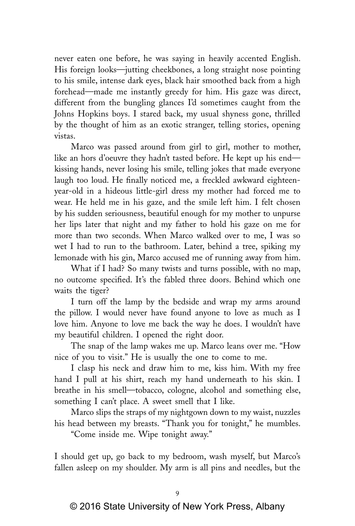never eaten one before, he was saying in heavily accented English. His foreign looks—jutting cheekbones, a long straight nose pointing to his smile, intense dark eyes, black hair smoothed back from a high forehead—made me instantly greedy for him. His gaze was direct, different from the bungling glances I'd sometimes caught from the Johns Hopkins boys. I stared back, my usual shyness gone, thrilled by the thought of him as an exotic stranger, telling stories, opening vistas.

Marco was passed around from girl to girl, mother to mother, like an hors d'oeuvre they hadn't tasted before. He kept up his end kissing hands, never losing his smile, telling jokes that made everyone laugh too loud. He finally noticed me, a freckled awkward eighteenyear-old in a hideous little-girl dress my mother had forced me to wear. He held me in his gaze, and the smile left him. I felt chosen by his sudden seriousness, beautiful enough for my mother to unpurse her lips later that night and my father to hold his gaze on me for more than two seconds. When Marco walked over to me, I was so wet I had to run to the bathroom. Later, behind a tree, spiking my lemonade with his gin, Marco accused me of running away from him.

What if I had? So many twists and turns possible, with no map, no outcome specified. It's the fabled three doors. Behind which one waits the tiger?

I turn off the lamp by the bedside and wrap my arms around the pillow. I would never have found anyone to love as much as I love him. Anyone to love me back the way he does. I wouldn't have my beautiful children. I opened the right door.

The snap of the lamp wakes me up. Marco leans over me. "How nice of you to visit." He is usually the one to come to me.

I clasp his neck and draw him to me, kiss him. With my free hand I pull at his shirt, reach my hand underneath to his skin. I breathe in his smell—tobacco, cologne, alcohol and something else, something I can't place. A sweet smell that I like.

Marco slips the straps of my nightgown down to my waist, nuzzles his head between my breasts. "Thank you for tonight," he mumbles.

"Come inside me. Wipe tonight away."

I should get up, go back to my bedroom, wash myself, but Marco's fallen asleep on my shoulder. My arm is all pins and needles, but the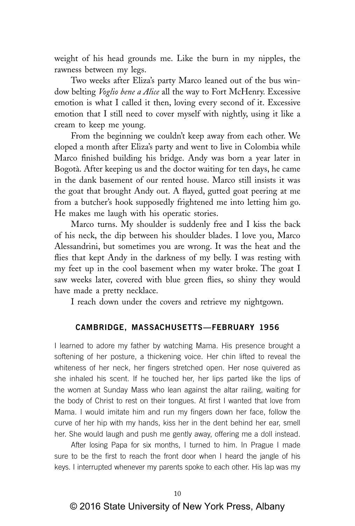weight of his head grounds me. Like the burn in my nipples, the rawness between my legs.

Two weeks after Eliza's party Marco leaned out of the bus window belting *Voglio bene a Alice* all the way to Fort McHenry. Excessive emotion is what I called it then, loving every second of it. Excessive emotion that I still need to cover myself with nightly, using it like a cream to keep me young.

From the beginning we couldn't keep away from each other. We eloped a month after Eliza's party and went to live in Colombia while Marco finished building his bridge. Andy was born a year later in Bogotà. After keeping us and the doctor waiting for ten days, he came in the dank basement of our rented house. Marco still insists it was the goat that brought Andy out. A flayed, gutted goat peering at me from a butcher's hook supposedly frightened me into letting him go. He makes me laugh with his operatic stories.

Marco turns. My shoulder is suddenly free and I kiss the back of his neck, the dip between his shoulder blades. I love you, Marco Alessandrini, but sometimes you are wrong. It was the heat and the flies that kept Andy in the darkness of my belly. I was resting with my feet up in the cool basement when my water broke. The goat I saw weeks later, covered with blue green flies, so shiny they would have made a pretty necklace.

I reach down under the covers and retrieve my nightgown.

### **CAMBRIDGE, MASSACHUSETTS—FEBRUARY 1956**

I learned to adore my father by watching Mama. His presence brought a softening of her posture, a thickening voice. Her chin lifted to reveal the whiteness of her neck, her fingers stretched open. Her nose quivered as she inhaled his scent. If he touched her, her lips parted like the lips of the women at Sunday Mass who lean against the altar railing, waiting for the body of Christ to rest on their tongues. At first I wanted that love from Mama. I would imitate him and run my fingers down her face, follow the curve of her hip with my hands, kiss her in the dent behind her ear, smell her. She would laugh and push me gently away, offering me a doll instead.

After losing Papa for six months, I turned to him. In Prague I made sure to be the first to reach the front door when I heard the jangle of his keys. I interrupted whenever my parents spoke to each other. His lap was my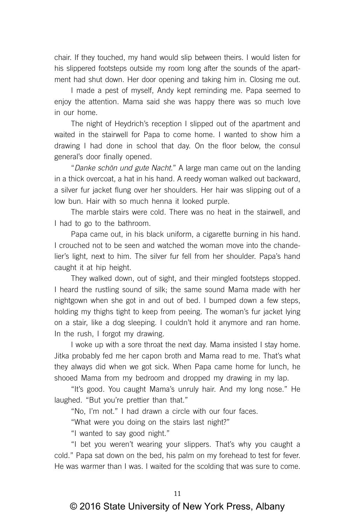chair. If they touched, my hand would slip between theirs. I would listen for his slippered footsteps outside my room long after the sounds of the apartment had shut down. Her door opening and taking him in. Closing me out.

I made a pest of myself, Andy kept reminding me. Papa seemed to enjoy the attention. Mama said she was happy there was so much love in our home.

The night of Heydrich's reception I slipped out of the apartment and waited in the stairwell for Papa to come home. I wanted to show him a drawing I had done in school that day. On the floor below, the consul general's door finally opened.

"Danke schön und gute Nacht." A large man came out on the landing in a thick overcoat, a hat in his hand. A reedy woman walked out backward, a silver fur jacket flung over her shoulders. Her hair was slipping out of a low bun. Hair with so much henna it looked purple.

The marble stairs were cold. There was no heat in the stairwell, and I had to go to the bathroom.

Papa came out, in his black uniform, a cigarette burning in his hand. I crouched not to be seen and watched the woman move into the chandelier's light, next to him. The silver fur fell from her shoulder. Papa's hand caught it at hip height.

They walked down, out of sight, and their mingled footsteps stopped. I heard the rustling sound of silk; the same sound Mama made with her nightgown when she got in and out of bed. I bumped down a few steps, holding my thighs tight to keep from peeing. The woman's fur jacket lying on a stair, like a dog sleeping. I couldn't hold it anymore and ran home. In the rush, I forgot my drawing.

I woke up with a sore throat the next day. Mama insisted I stay home. Jitka probably fed me her capon broth and Mama read to me. That's what they always did when we got sick. When Papa came home for lunch, he shooed Mama from my bedroom and dropped my drawing in my lap.

"It's good. You caught Mama's unruly hair. And my long nose." He laughed. "But you're prettier than that."

"No, I'm not." I had drawn a circle with our four faces.

"What were you doing on the stairs last night?"

"I wanted to say good night."

"I bet you weren't wearing your slippers. That's why you caught a cold." Papa sat down on the bed, his palm on my forehead to test for fever. He was warmer than I was. I waited for the scolding that was sure to come.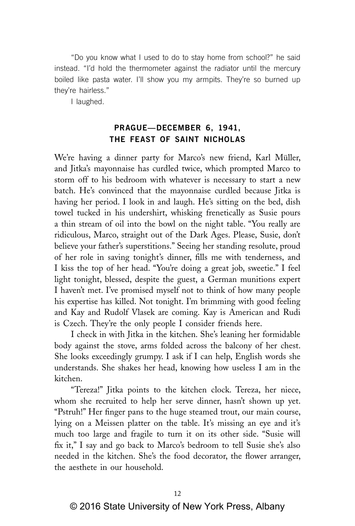"Do you know what I used to do to stay home from school?" he said instead. "I'd hold the thermometer against the radiator until the mercury boiled like pasta water. I'll show you my armpits. They're so burned up they're hairless."

I laughed.

# **PRAGUE—DECEMBER 6, 1941, THE FEAST OF SAINT NICHOLAS**

We're having a dinner party for Marco's new friend, Karl Müller, and Jitka's mayonnaise has curdled twice, which prompted Marco to storm off to his bedroom with whatever is necessary to start a new batch. He's convinced that the mayonnaise curdled because Jitka is having her period. I look in and laugh. He's sitting on the bed, dish towel tucked in his undershirt, whisking frenetically as Susie pours a thin stream of oil into the bowl on the night table. "You really are ridiculous, Marco, straight out of the Dark Ages. Please, Susie, don't believe your father's superstitions." Seeing her standing resolute, proud of her role in saving tonight's dinner, fills me with tenderness, and I kiss the top of her head. "You're doing a great job, sweetie." I feel light tonight, blessed, despite the guest, a German munitions expert I haven't met. I've promised myself not to think of how many people his expertise has killed. Not tonight. I'm brimming with good feeling and Kay and Rudolf Vlasek are coming. Kay is American and Rudi is Czech. They're the only people I consider friends here.

I check in with Jitka in the kitchen. She's leaning her formidable body against the stove, arms folded across the balcony of her chest. She looks exceedingly grumpy. I ask if I can help, English words she understands. She shakes her head, knowing how useless I am in the kitchen.

"Tereza!" Jitka points to the kitchen clock. Tereza, her niece, whom she recruited to help her serve dinner, hasn't shown up yet. "Pstruh!" Her finger pans to the huge steamed trout, our main course, lying on a Meissen platter on the table. It's missing an eye and it's much too large and fragile to turn it on its other side. "Susie will fix it," I say and go back to Marco's bedroom to tell Susie she's also needed in the kitchen. She's the food decorator, the flower arranger, the aesthete in our household.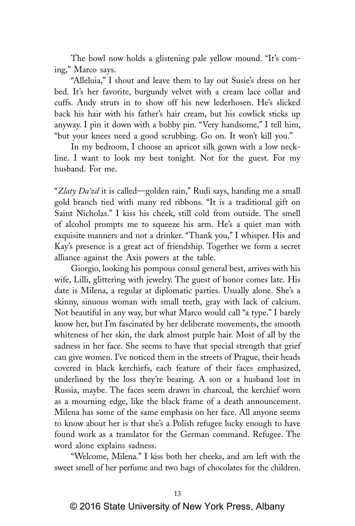The bowl now holds a glistening pale yellow mound. "It's coming," Marco says.

"Alleluia," I shout and leave them to lay out Susie's dress on her bed. It's her favorite, burgundy velvet with a cream lace collar and cuffs. Andy struts in to show off his new lederhosen. He's slicked back his hair with his father's hair cream, but his cowlick sticks up anyway. I pin it down with a bobby pin. "Very handsome," I tell him, "but your knees need a good scrubbing. Go on. It won't kill you."

In my bedroom, I choose an apricot silk gown with a low neckline. I want to look my best tonight. Not for the guest. For my husband. For me.

"*Zlaty Da'zd* it is called—golden rain," Rudi says, handing me a small gold branch tied with many red ribbons. "It is a traditional gift on Saint Nicholas." I kiss his cheek, still cold from outside. The smell of alcohol prompts me to squeeze his arm. He's a quiet man with exquisite manners and not a drinker. "Thank you," I whisper. His and Kay's presence is a great act of friendship. Together we form a secret alliance against the Axis powers at the table.

Giorgio, looking his pompous consul general best, arrives with his wife, Lilli, glittering with jewelry. The guest of honor comes late. His date is Milena, a regular at diplomatic parties. Usually alone. She's a skinny, sinuous woman with small teeth, gray with lack of calcium. Not beautiful in any way, but what Marco would call "a type." I barely know her, but I'm fascinated by her deliberate movements, the smooth whiteness of her skin, the dark almost purple hair. Most of all by the sadness in her face. She seems to have that special strength that grief can give women. I've noticed them in the streets of Prague, their heads covered in black kerchiefs, each feature of their faces emphasized, underlined by the loss they're bearing. A son or a husband lost in Russia, maybe. The faces seem drawn in charcoal, the kerchief worn as a mourning edge, like the black frame of a death announcement. Milena has some of the same emphasis on her face. All anyone seems to know about her is that she's a Polish refugee lucky enough to have found work as a translator for the German command. Refugee. The word alone explains sadness.

"Welcome, Milena." I kiss both her cheeks, and am left with the sweet smell of her perfume and two bags of chocolates for the children.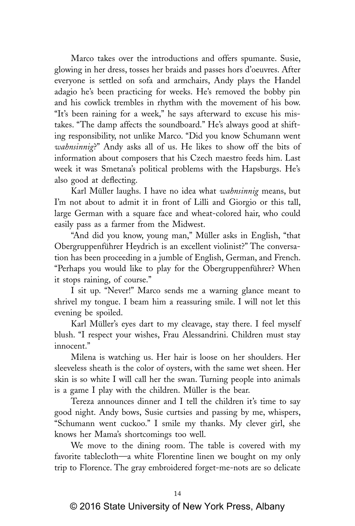Marco takes over the introductions and offers spumante. Susie, glowing in her dress, tosses her braids and passes hors d'oeuvres. After everyone is settled on sofa and armchairs, Andy plays the Handel adagio he's been practicing for weeks. He's removed the bobby pin and his cowlick trembles in rhythm with the movement of his bow. "It's been raining for a week," he says afterward to excuse his mistakes. "The damp affects the soundboard." He's always good at shifting responsibility, not unlike Marco. "Did you know Schumann went *wahnsinnig*?" Andy asks all of us. He likes to show off the bits of information about composers that his Czech maestro feeds him. Last week it was Smetana's political problems with the Hapsburgs. He's also good at deflecting.

Karl Müller laughs. I have no idea what *wahnsinnig* means, but I'm not about to admit it in front of Lilli and Giorgio or this tall, large German with a square face and wheat-colored hair, who could easily pass as a farmer from the Midwest.

"And did you know, young man," Müller asks in English, "that Obergruppenführer Heydrich is an excellent violinist?" The conversation has been proceeding in a jumble of English, German, and French. "Perhaps you would like to play for the Obergruppenführer? When it stops raining, of course."

I sit up. "Never!" Marco sends me a warning glance meant to shrivel my tongue. I beam him a reassuring smile. I will not let this evening be spoiled.

Karl Müller's eyes dart to my cleavage, stay there. I feel myself blush. "I respect your wishes, Frau Alessandrini. Children must stay innocent."

Milena is watching us. Her hair is loose on her shoulders. Her sleeveless sheath is the color of oysters, with the same wet sheen. Her skin is so white I will call her the swan. Turning people into animals is a game I play with the children. Müller is the bear.

Tereza announces dinner and I tell the children it's time to say good night. Andy bows, Susie curtsies and passing by me, whispers, "Schumann went cuckoo." I smile my thanks. My clever girl, she knows her Mama's shortcomings too well.

We move to the dining room. The table is covered with my favorite tablecloth—a white Florentine linen we bought on my only trip to Florence. The gray embroidered forget-me-nots are so delicate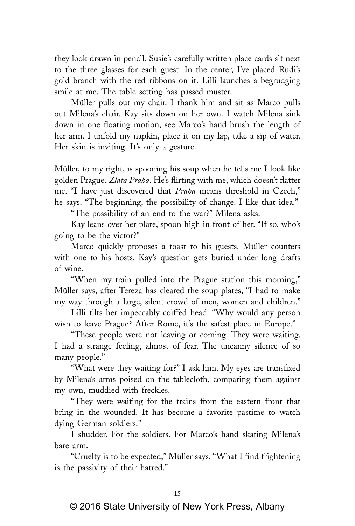they look drawn in pencil. Susie's carefully written place cards sit next to the three glasses for each guest. In the center, I've placed Rudi's gold branch with the red ribbons on it. Lilli launches a begrudging smile at me. The table setting has passed muster.

Müller pulls out my chair. I thank him and sit as Marco pulls out Milena's chair. Kay sits down on her own. I watch Milena sink down in one floating motion, see Marco's hand brush the length of her arm. I unfold my napkin, place it on my lap, take a sip of water. Her skin is inviting. It's only a gesture.

Müller, to my right, is spooning his soup when he tells me I look like golden Prague. *Zlata Praha*. He's flirting with me, which doesn't flatter me. "I have just discovered that *Praha* means threshold in Czech," he says. "The beginning, the possibility of change. I like that idea."

"The possibility of an end to the war?" Milena asks.

Kay leans over her plate, spoon high in front of her. "If so, who's going to be the victor?"

Marco quickly proposes a toast to his guests. Müller counters with one to his hosts. Kay's question gets buried under long drafts of wine.

"When my train pulled into the Prague station this morning," Müller says, after Tereza has cleared the soup plates, "I had to make my way through a large, silent crowd of men, women and children."

Lilli tilts her impeccably coiffed head. "Why would any person wish to leave Prague? After Rome, it's the safest place in Europe."

"These people were not leaving or coming. They were waiting. I had a strange feeling, almost of fear. The uncanny silence of so many people."

"What were they waiting for?" I ask him. My eyes are transfixed by Milena's arms poised on the tablecloth, comparing them against my own, muddied with freckles.

"They were waiting for the trains from the eastern front that bring in the wounded. It has become a favorite pastime to watch dying German soldiers."

I shudder. For the soldiers. For Marco's hand skating Milena's bare arm.

"Cruelty is to be expected," Müller says. "What I find frightening is the passivity of their hatred."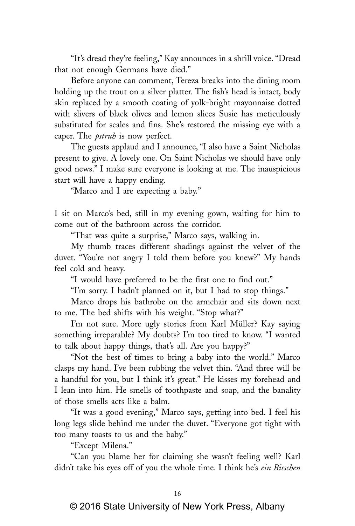"It's dread they're feeling," Kay announces in a shrill voice. "Dread that not enough Germans have died."

Before anyone can comment, Tereza breaks into the dining room holding up the trout on a silver platter. The fish's head is intact, body skin replaced by a smooth coating of yolk-bright mayonnaise dotted with slivers of black olives and lemon slices Susie has meticulously substituted for scales and fins. She's restored the missing eye with a caper. The *pstruh* is now perfect.

The guests applaud and I announce, "I also have a Saint Nicholas present to give. A lovely one. On Saint Nicholas we should have only good news." I make sure everyone is looking at me. The inauspicious start will have a happy ending.

"Marco and I are expecting a baby."

I sit on Marco's bed, still in my evening gown, waiting for him to come out of the bathroom across the corridor.

"That was quite a surprise," Marco says, walking in.

My thumb traces different shadings against the velvet of the duvet. "You're not angry I told them before you knew?" My hands feel cold and heavy.

"I would have preferred to be the first one to find out."

"I'm sorry. I hadn't planned on it, but I had to stop things."

Marco drops his bathrobe on the armchair and sits down next to me. The bed shifts with his weight. "Stop what?"

I'm not sure. More ugly stories from Karl Müller? Kay saying something irreparable? My doubts? I'm too tired to know. "I wanted to talk about happy things, that's all. Are you happy?"

"Not the best of times to bring a baby into the world." Marco clasps my hand. I've been rubbing the velvet thin. "And three will be a handful for you, but I think it's great." He kisses my forehead and I lean into him. He smells of toothpaste and soap, and the banality of those smells acts like a balm.

"It was a good evening," Marco says, getting into bed. I feel his long legs slide behind me under the duvet. "Everyone got tight with too many toasts to us and the baby."

"Except Milena."

"Can you blame her for claiming she wasn't feeling well? Karl didn't take his eyes off of you the whole time. I think he's *ein Bisschen*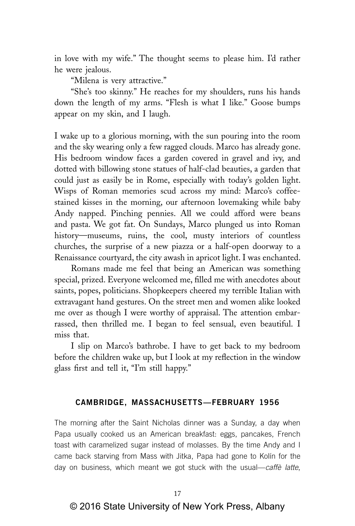in love with my wife." The thought seems to please him. I'd rather he were jealous.

"Milena is very attractive."

"She's too skinny." He reaches for my shoulders, runs his hands down the length of my arms. "Flesh is what I like." Goose bumps appear on my skin, and I laugh.

I wake up to a glorious morning, with the sun pouring into the room and the sky wearing only a few ragged clouds. Marco has already gone. His bedroom window faces a garden covered in gravel and ivy, and dotted with billowing stone statues of half-clad beauties, a garden that could just as easily be in Rome, especially with today's golden light. Wisps of Roman memories scud across my mind: Marco's coffeestained kisses in the morning, our afternoon lovemaking while baby Andy napped. Pinching pennies. All we could afford were beans and pasta. We got fat. On Sundays, Marco plunged us into Roman history—museums, ruins, the cool, musty interiors of countless churches, the surprise of a new piazza or a half-open doorway to a Renaissance courtyard, the city awash in apricot light. I was enchanted.

Romans made me feel that being an American was something special, prized. Everyone welcomed me, filled me with anecdotes about saints, popes, politicians. Shopkeepers cheered my terrible Italian with extravagant hand gestures. On the street men and women alike looked me over as though I were worthy of appraisal. The attention embarrassed, then thrilled me. I began to feel sensual, even beautiful. I miss that.

I slip on Marco's bathrobe. I have to get back to my bedroom before the children wake up, but I look at my reflection in the window glass first and tell it, "I'm still happy."

### **CAMBRIDGE, MASSACHUSETTS—FEBRUARY 1956**

The morning after the Saint Nicholas dinner was a Sunday, a day when Papa usually cooked us an American breakfast: eggs, pancakes, French toast with caramelized sugar instead of molasses. By the time Andy and I came back starving from Mass with Jitka, Papa had gone to Kolín for the day on business, which meant we got stuck with the usual—caffè latte,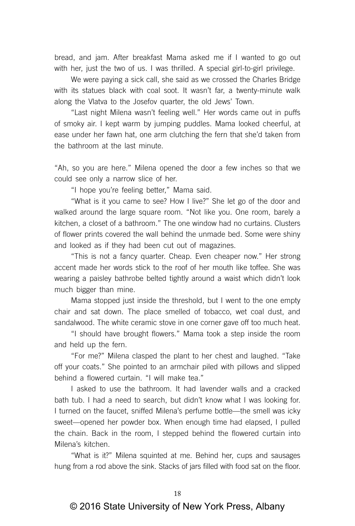bread, and jam. After breakfast Mama asked me if I wanted to go out with her, just the two of us. I was thrilled. A special girl-to-girl privilege.

We were paying a sick call, she said as we crossed the Charles Bridge with its statues black with coal soot. It wasn't far, a twenty-minute walk along the Vlatva to the Josefov quarter, the old Jews' Town.

"Last night Milena wasn't feeling well." Her words came out in puffs of smoky air. I kept warm by jumping puddles. Mama looked cheerful, at ease under her fawn hat, one arm clutching the fern that she'd taken from the bathroom at the last minute.

"Ah, so you are here." Milena opened the door a few inches so that we could see only a narrow slice of her.

"I hope you're feeling better," Mama said.

"What is it you came to see? How I live?" She let go of the door and walked around the large square room. "Not like you. One room, barely a kitchen, a closet of a bathroom." The one window had no curtains. Clusters of flower prints covered the wall behind the unmade bed. Some were shiny and looked as if they had been cut out of magazines.

"This is not a fancy quarter. Cheap. Even cheaper now." Her strong accent made her words stick to the roof of her mouth like toffee. She was wearing a paisley bathrobe belted tightly around a waist which didn't look much bigger than mine.

Mama stopped just inside the threshold, but I went to the one empty chair and sat down. The place smelled of tobacco, wet coal dust, and sandalwood. The white ceramic stove in one corner gave off too much heat.

"I should have brought flowers." Mama took a step inside the room and held up the fern.

"For me?" Milena clasped the plant to her chest and laughed. "Take off your coats." She pointed to an armchair piled with pillows and slipped behind a flowered curtain. "I will make tea."

I asked to use the bathroom. It had lavender walls and a cracked bath tub. I had a need to search, but didn't know what I was looking for. I turned on the faucet, sniffed Milena's perfume bottle—the smell was icky sweet—opened her powder box. When enough time had elapsed, I pulled the chain. Back in the room, I stepped behind the flowered curtain into Milena's kitchen.

"What is it?" Milena squinted at me. Behind her, cups and sausages hung from a rod above the sink. Stacks of jars filled with food sat on the floor.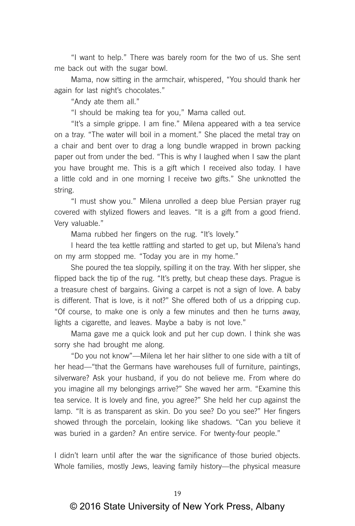"I want to help." There was barely room for the two of us. She sent me back out with the sugar bowl.

Mama, now sitting in the armchair, whispered, "You should thank her again for last night's chocolates."

"Andy ate them all."

"I should be making tea for you," Mama called out.

"It's a simple grippe. I am fine." Milena appeared with a tea service on a tray. "The water will boil in a moment." She placed the metal tray on a chair and bent over to drag a long bundle wrapped in brown packing paper out from under the bed. "This is why I laughed when I saw the plant you have brought me. This is a gift which I received also today. I have a little cold and in one morning I receive two gifts." She unknotted the string.

"I must show you." Milena unrolled a deep blue Persian prayer rug covered with stylized flowers and leaves. "It is a gift from a good friend. Very valuable."

Mama rubbed her fingers on the rug. "It's lovely."

I heard the tea kettle rattling and started to get up, but Milena's hand on my arm stopped me. "Today you are in my home."

She poured the tea sloppily, spilling it on the tray. With her slipper, she flipped back the tip of the rug. "It's pretty, but cheap these days. Prague is a treasure chest of bargains. Giving a carpet is not a sign of love. A baby is different. That is love, is it not?" She offered both of us a dripping cup. "Of course, to make one is only a few minutes and then he turns away, lights a cigarette, and leaves. Maybe a baby is not love."

Mama gave me a quick look and put her cup down. I think she was sorry she had brought me along.

"Do you not know"—Milena let her hair slither to one side with a tilt of her head—"that the Germans have warehouses full of furniture, paintings, silverware? Ask your husband, if you do not believe me. From where do you imagine all my belongings arrive?" She waved her arm. "Examine this tea service. It is lovely and fine, you agree?" She held her cup against the lamp. "It is as transparent as skin. Do you see? Do you see?" Her fingers showed through the porcelain, looking like shadows. "Can you believe it was buried in a garden? An entire service. For twenty-four people."

I didn't learn until after the war the significance of those buried objects. Whole families, mostly Jews, leaving family history—the physical measure